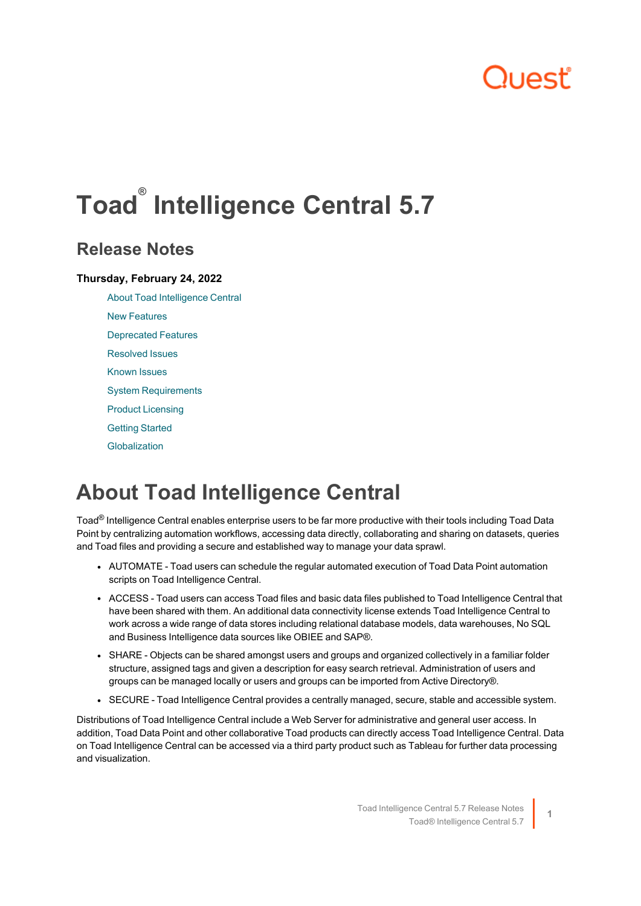## ור ור'

# <span id="page-0-0"></span>**Toad® Intelligence Central 5.7**

### **Release Notes**

#### **Thursday, February 24, 2022**

About Toad [Intelligence](#page-0-0) Central New [Features](#page-1-0) [Deprecated](#page-1-1) Features [Resolved](#page-3-0) Issues [Known](#page-4-0) Issues

System [Requirements](#page-8-0)

Product [Licensing](#page-11-0)

Getting [Started](#page-12-0)

[Globalization](#page-13-0)

## **About Toad Intelligence Central**

Toad® Intelligence Central enables enterprise users to be far more productive with their tools including Toad Data Point by centralizing automation workflows, accessing data directly, collaborating and sharing on datasets, queries and Toad files and providing a secure and established way to manage your data sprawl.

- AUTOMATE Toad users can schedule the regular automated execution of Toad Data Point automation scripts on Toad Intelligence Central.
- ACCESS Toad users can access Toad files and basic data files published to Toad Intelligence Central that have been shared with them. An additional data connectivity license extends Toad Intelligence Central to work across a wide range of data stores including relational database models, data warehouses, No SQL and Business Intelligence data sources like OBIEE and SAP®.
- SHARE Objects can be shared amongst users and groups and organized collectively in a familiar folder structure, assigned tags and given a description for easy search retrieval. Administration of users and groups can be managed locally or users and groups can be imported from Active Directory®.
- SECURE Toad Intelligence Central provides a centrally managed, secure, stable and accessible system.

Distributions of Toad Intelligence Central include a Web Server for administrative and general user access. In addition, Toad Data Point and other collaborative Toad products can directly access Toad Intelligence Central. Data on Toad Intelligence Central can be accessed via a third party product such as Tableau for further data processing and visualization.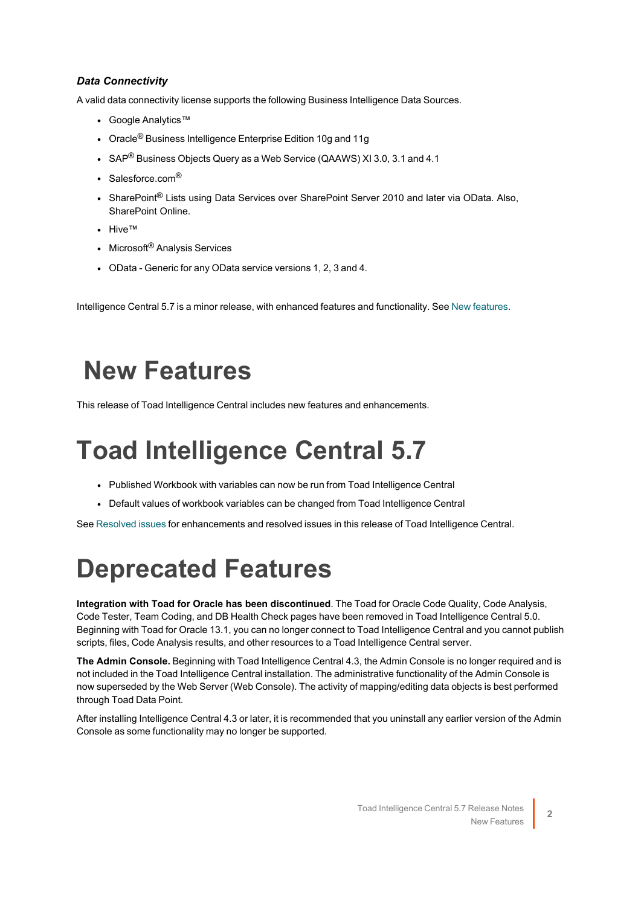### *Data Connectivity*

A valid data connectivity license supports the following Business Intelligence Data Sources.

- Google Analytics™
- Oracle<sup>®</sup> Business Intelligence Enterprise Edition 10g and 11g
- SAP<sup>®</sup> Business Objects Query as a Web Service (QAAWS) XI 3.0, 3.1 and 4.1
- Salesforce.com<sup>®</sup>
- SharePoint<sup>®</sup> Lists using Data Services over SharePoint Server 2010 and later via OData. Also, SharePoint Online.
- Hive™
- Microsoft<sup>®</sup> Analysis Services
- OData Generic for any OData service versions 1, 2, 3 and 4.

<span id="page-1-0"></span>Intelligence Central 5.7 is a minor release, with enhanced features and functionality. See New [features.](#page-1-0)

## **New Features**

This release of Toad Intelligence Central includes new features and enhancements.

# **Toad Intelligence Central 5.7**

- Published Workbook with variables can now be run from Toad Intelligence Central
- Default values of workbook variables can be changed from Toad Intelligence Central

<span id="page-1-1"></span>See [Resolved](#page-3-0) issues for enhancements and resolved issues in this release of Toad Intelligence Central.

## **Deprecated Features**

**Integration with Toad for Oracle has been discontinued**. The Toad for Oracle Code Quality, Code Analysis, Code Tester, Team Coding, and DB Health Check pages have been removed in Toad Intelligence Central 5.0. Beginning with Toad for Oracle 13.1, you can no longer connect to Toad Intelligence Central and you cannot publish scripts, files, Code Analysis results, and other resources to a Toad Intelligence Central server.

**The Admin Console.** Beginning with Toad Intelligence Central 4.3, the Admin Console is no longer required and is not included in the Toad Intelligence Central installation. The administrative functionality of the Admin Console is now superseded by the Web Server (Web Console). The activity of mapping/editing data objects is best performed through Toad Data Point.

After installing Intelligence Central 4.3 or later, it is recommended that you uninstall any earlier version of the Admin Console as some functionality may no longer be supported.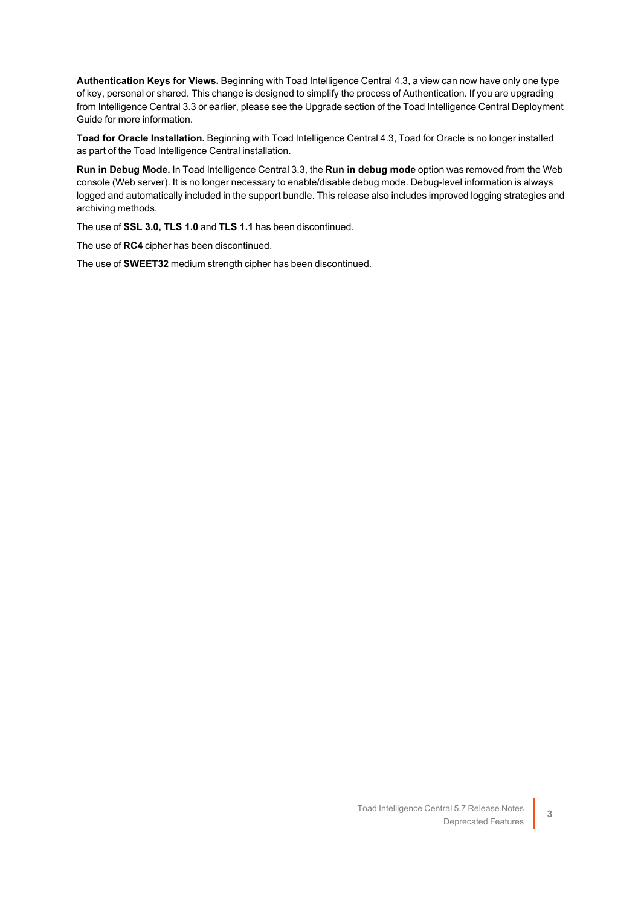**Authentication Keys for Views.** Beginning with Toad Intelligence Central 4.3, a view can now have only one type of key, personal or shared. This change is designed to simplify the process of Authentication. If you are upgrading from Intelligence Central 3.3 or earlier, please see the Upgrade section of the Toad Intelligence Central Deployment Guide for more information.

**Toad for Oracle Installation.** Beginning with Toad Intelligence Central 4.3, Toad for Oracle is no longer installed as part of the Toad Intelligence Central installation.

**Run in Debug Mode.** In Toad Intelligence Central 3.3, the **Run in debug mode** option was removed from the Web console (Web server). It is no longer necessary to enable/disable debug mode. Debug-level information is always logged and automatically included in the support bundle. This release also includes improved logging strategies and archiving methods.

The use of **SSL 3.0, TLS 1.0** and **TLS 1.1** has been discontinued.

The use of **RC4** cipher has been discontinued.

The use of **SWEET32** medium strength cipher has been discontinued.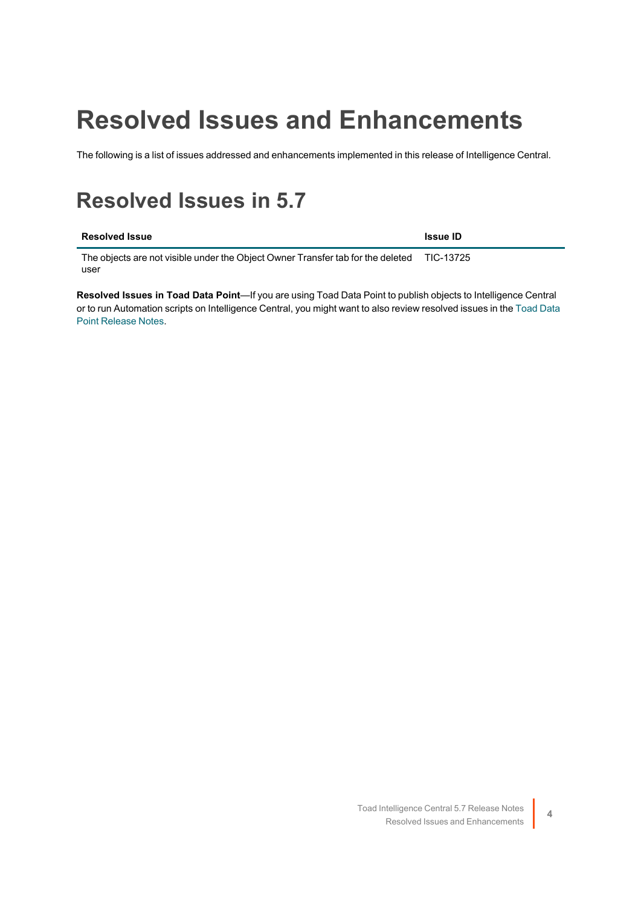## <span id="page-3-0"></span>**Resolved Issues and Enhancements**

The following is a list of issues addressed and enhancements implemented in this release of Intelligence Central.

## **Resolved Issues in 5.7**

| <b>Resolved Issue</b>                                                                     | <b>Issue ID</b> |
|-------------------------------------------------------------------------------------------|-----------------|
| The objects are not visible under the Object Owner Transfer tab for the deleted TIC-13725 |                 |

user

**Resolved Issues in Toad Data Point**—If you are using Toad Data Point to publish objects to Intelligence Central or to run Automation scripts on Intelligence Central, you might want to also review resolved issues in the [Toad](http://support.quest.com/technical-documents/toad-data-point/) Data Point [Release](http://support.quest.com/technical-documents/toad-data-point/) Notes.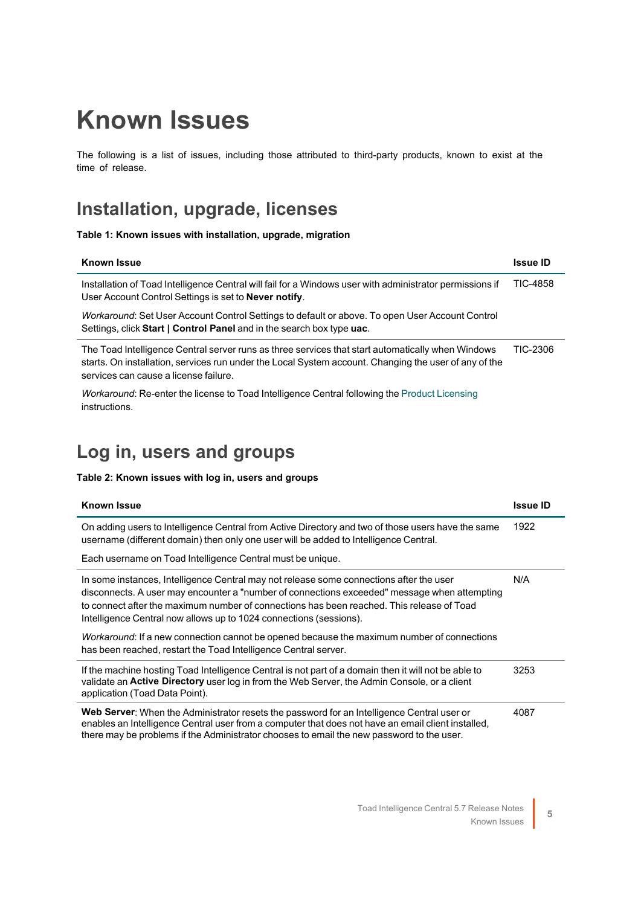# <span id="page-4-0"></span>**Known Issues**

The following is a list of issues, including those attributed to third-party products, known to exist at the time of release.

### **Installation, upgrade, licenses**

**Table 1: Known issues with installation, upgrade, migration**

| <b>Known Issue</b>                                                                                                                                                                                                                                  | <b>Issue ID</b> |
|-----------------------------------------------------------------------------------------------------------------------------------------------------------------------------------------------------------------------------------------------------|-----------------|
| Installation of Toad Intelligence Central will fail for a Windows user with administrator permissions if<br>User Account Control Settings is set to <b>Never notify</b> .                                                                           | TIC-4858        |
| Workaround: Set User Account Control Settings to default or above. To open User Account Control<br>Settings, click <b>Start   Control Panel</b> and in the search box type <b>uac</b> .                                                             |                 |
| The Toad Intelligence Central server runs as three services that start automatically when Windows<br>starts. On installation, services run under the Local System account. Changing the user of any of the<br>services can cause a license failure. | TIC-2306        |
| <i>Workaround:</i> Re-enter the license to Toad Intelligence Central following the Product Licensing<br>instructions.                                                                                                                               |                 |

### **Log in, users and groups**

#### **Table 2: Known issues with log in, users and groups**

| <b>Known Issue</b>                                                                                                                                                                                                                                                                                                                                         | <b>Issue ID</b> |
|------------------------------------------------------------------------------------------------------------------------------------------------------------------------------------------------------------------------------------------------------------------------------------------------------------------------------------------------------------|-----------------|
| On adding users to Intelligence Central from Active Directory and two of those users have the same<br>username (different domain) then only one user will be added to Intelligence Central.                                                                                                                                                                | 1922            |
| Each username on Toad Intelligence Central must be unique.                                                                                                                                                                                                                                                                                                 |                 |
| In some instances, Intelligence Central may not release some connections after the user<br>disconnects. A user may encounter a "number of connections exceeded" message when attempting<br>to connect after the maximum number of connections has been reached. This release of Toad<br>Intelligence Central now allows up to 1024 connections (sessions). | N/A             |
| Workaround: If a new connection cannot be opened because the maximum number of connections<br>has been reached, restart the Toad Intelligence Central server.                                                                                                                                                                                              |                 |
| If the machine hosting Toad Intelligence Central is not part of a domain then it will not be able to<br>validate an <b>Active Directory</b> user log in from the Web Server, the Admin Console, or a client<br>application (Toad Data Point).                                                                                                              | 3253            |
| Web Server: When the Administrator resets the password for an Intelligence Central user or<br>enables an Intelligence Central user from a computer that does not have an email client installed,<br>there may be problems if the Administrator chooses to email the new password to the user.                                                              | 4087            |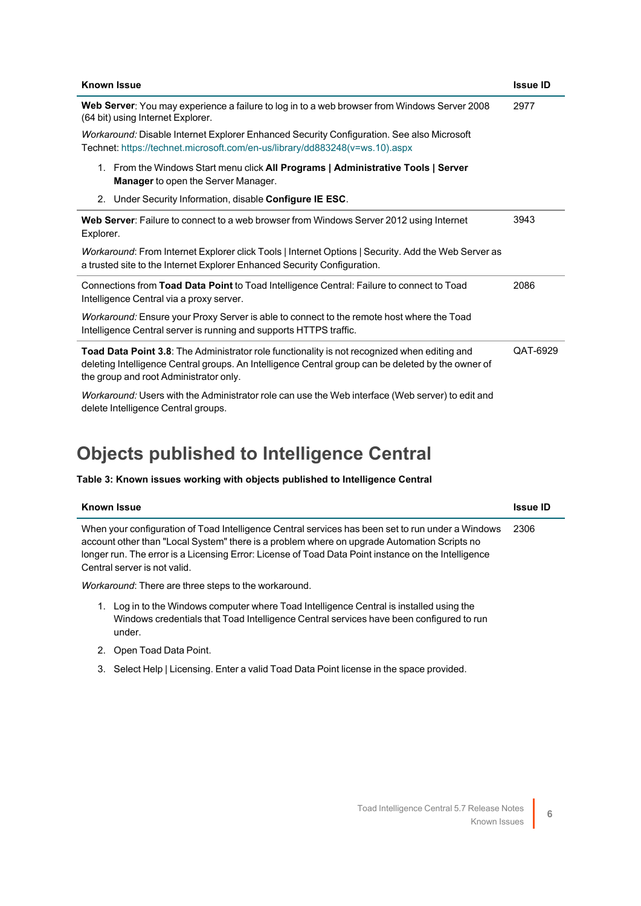| <b>Known Issue</b>                                                                                                                                                                                                                           | <b>Issue ID</b> |
|----------------------------------------------------------------------------------------------------------------------------------------------------------------------------------------------------------------------------------------------|-----------------|
| Web Server: You may experience a failure to log in to a web browser from Windows Server 2008<br>(64 bit) using Internet Explorer.                                                                                                            |                 |
| Workaround: Disable Internet Explorer Enhanced Security Configuration. See also Microsoft<br>Technet: https://technet.microsoft.com/en-us/library/dd883248(v=ws.10).aspx                                                                     |                 |
| 1. From the Windows Start menu click All Programs   Administrative Tools   Server<br>Manager to open the Server Manager.                                                                                                                     |                 |
| 2. Under Security Information, disable Configure IE ESC.                                                                                                                                                                                     |                 |
| Web Server: Failure to connect to a web browser from Windows Server 2012 using Internet<br>Explorer.                                                                                                                                         | 3943            |
| Workaround: From Internet Explorer click Tools   Internet Options   Security. Add the Web Server as<br>a trusted site to the Internet Explorer Enhanced Security Configuration.                                                              |                 |
| Connections from Toad Data Point to Toad Intelligence Central: Failure to connect to Toad<br>Intelligence Central via a proxy server.                                                                                                        | 2086            |
| Workaround: Ensure your Proxy Server is able to connect to the remote host where the Toad<br>Intelligence Central server is running and supports HTTPS traffic.                                                                              |                 |
| Toad Data Point 3.8: The Administrator role functionality is not recognized when editing and<br>deleting Intelligence Central groups. An Intelligence Central group can be deleted by the owner of<br>the group and root Administrator only. | QAT-6929        |
| Workaround: Users with the Administrator role can use the Web interface (Web server) to edit and<br>delete Intelligence Central groups.                                                                                                      |                 |

### **Objects published to Intelligence Central**

#### **Table 3: Known issues working with objects published to Intelligence Central**

| Known Issue                                                                                                                                                                                                                                                                                                                             | <b>Issue ID</b> |
|-----------------------------------------------------------------------------------------------------------------------------------------------------------------------------------------------------------------------------------------------------------------------------------------------------------------------------------------|-----------------|
| When your configuration of Toad Intelligence Central services has been set to run under a Windows<br>account other than "Local System" there is a problem where on upgrade Automation Scripts no<br>longer run. The error is a Licensing Error: License of Toad Data Point instance on the Intelligence<br>Central server is not valid. | 2306            |
| Werkaround: There are three stone to the werkaround                                                                                                                                                                                                                                                                                     |                 |

*Workaround*: There are three steps to the workaround.

- 1. Log in to the Windows computer where Toad Intelligence Central is installed using the Windows credentials that Toad Intelligence Central services have been configured to run under.
- 2. Open Toad Data Point.

 $\overline{a}$ 

3. Select Help | Licensing. Enter a valid Toad Data Point license in the space provided.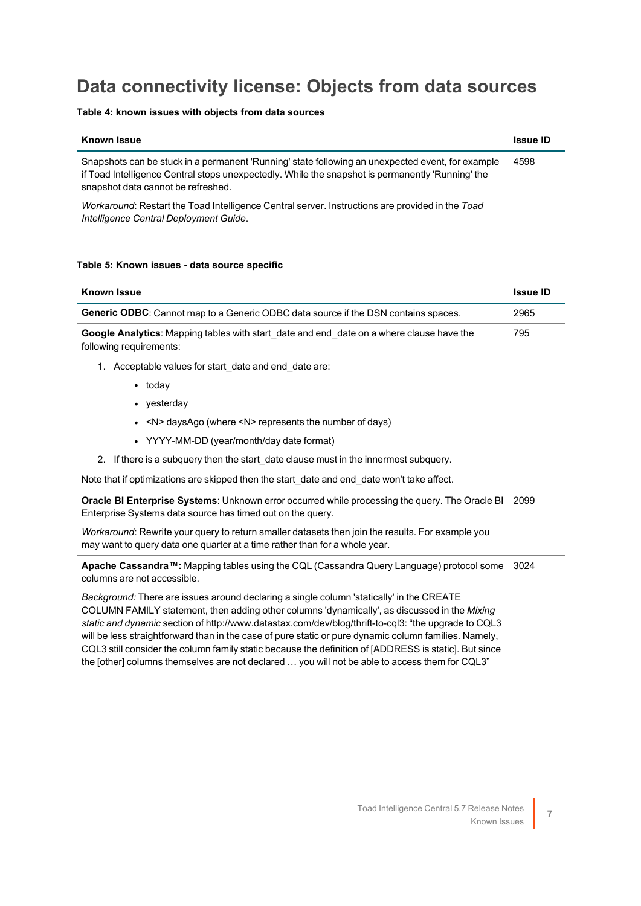### **Data connectivity license: Objects from data sources**

**Table 4: known issues with objects from data sources**

| <b>Known Issue</b>                                                                                                                                                                                                                         | <b>Issue ID</b> |
|--------------------------------------------------------------------------------------------------------------------------------------------------------------------------------------------------------------------------------------------|-----------------|
| Snapshots can be stuck in a permanent 'Running' state following an unexpected event, for example<br>if Toad Intelligence Central stops unexpectedly. While the snapshot is permanently 'Running' the<br>snapshot data cannot be refreshed. | 4598            |

*Workaround*: Restart the Toad Intelligence Central server. Instructions are provided in the *Toad Intelligence Central Deployment Guide*.

#### **Table 5: Known issues - data source specific**

| <b>Known Issue</b>                                                                                                                                                                                                                                                                                                                                                                                                                                                                                                                                                                                                  | <b>Issue ID</b> |
|---------------------------------------------------------------------------------------------------------------------------------------------------------------------------------------------------------------------------------------------------------------------------------------------------------------------------------------------------------------------------------------------------------------------------------------------------------------------------------------------------------------------------------------------------------------------------------------------------------------------|-----------------|
| Generic ODBC: Cannot map to a Generic ODBC data source if the DSN contains spaces.                                                                                                                                                                                                                                                                                                                                                                                                                                                                                                                                  | 2965            |
| Google Analytics: Mapping tables with start date and end date on a where clause have the<br>following requirements:                                                                                                                                                                                                                                                                                                                                                                                                                                                                                                 | 795             |
| 1. Acceptable values for start date and end date are:                                                                                                                                                                                                                                                                                                                                                                                                                                                                                                                                                               |                 |
| $\bullet$ today                                                                                                                                                                                                                                                                                                                                                                                                                                                                                                                                                                                                     |                 |
| • yesterday                                                                                                                                                                                                                                                                                                                                                                                                                                                                                                                                                                                                         |                 |
| <n> daysAgo (where <n> represents the number of days)</n></n>                                                                                                                                                                                                                                                                                                                                                                                                                                                                                                                                                       |                 |
| • YYYY-MM-DD (year/month/day date format)                                                                                                                                                                                                                                                                                                                                                                                                                                                                                                                                                                           |                 |
| 2. If there is a subquery then the start date clause must in the innermost subquery.                                                                                                                                                                                                                                                                                                                                                                                                                                                                                                                                |                 |
| Note that if optimizations are skipped then the start date and end date won't take affect.                                                                                                                                                                                                                                                                                                                                                                                                                                                                                                                          |                 |
| Oracle BI Enterprise Systems: Unknown error occurred while processing the query. The Oracle BI<br>Enterprise Systems data source has timed out on the query.                                                                                                                                                                                                                                                                                                                                                                                                                                                        | 2099            |
| Workaround: Rewrite your query to return smaller datasets then join the results. For example you<br>may want to query data one quarter at a time rather than for a whole year.                                                                                                                                                                                                                                                                                                                                                                                                                                      |                 |
| Apache Cassandra™: Mapping tables using the CQL (Cassandra Query Language) protocol some<br>columns are not accessible.                                                                                                                                                                                                                                                                                                                                                                                                                                                                                             | 3024            |
| Background: There are issues around declaring a single column 'statically' in the CREATE<br>COLUMN FAMILY statement, then adding other columns 'dynamically', as discussed in the Mixing<br>static and dynamic section of http://www.datastax.com/dev/blog/thrift-to-cql3: "the upgrade to CQL3<br>will be less straightforward than in the case of pure static or pure dynamic column families. Namely,<br>CQL3 still consider the column family static because the definition of [ADDRESS is static]. But since<br>the [other] columns themselves are not declared  you will not be able to access them for CQL3" |                 |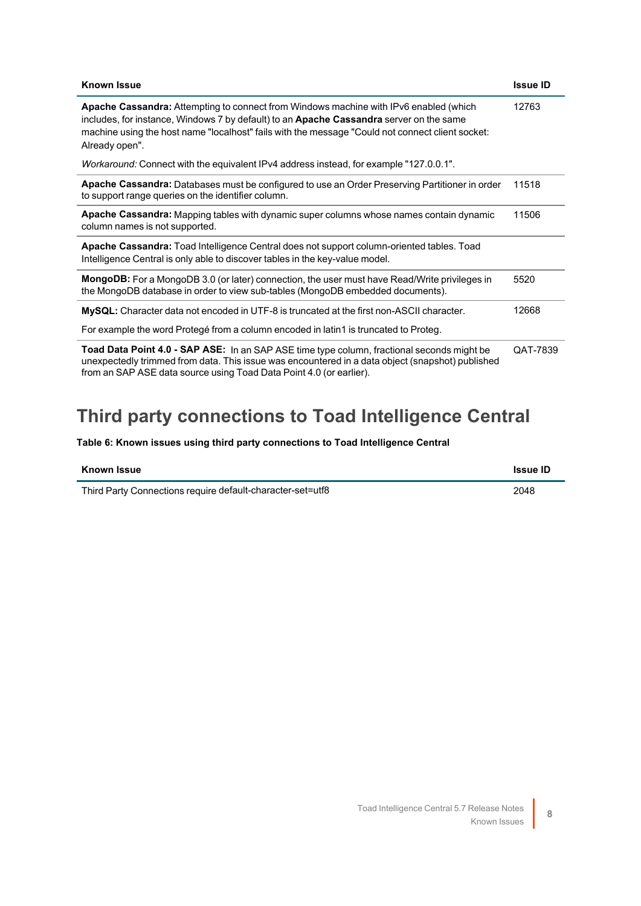| <b>Known Issue</b>                                                                                                                                                                                                                                                                                                                                                                               | <b>Issue ID</b> |
|--------------------------------------------------------------------------------------------------------------------------------------------------------------------------------------------------------------------------------------------------------------------------------------------------------------------------------------------------------------------------------------------------|-----------------|
| Apache Cassandra: Attempting to connect from Windows machine with IPv6 enabled (which<br>includes, for instance, Windows 7 by default) to an Apache Cassandra server on the same<br>machine using the host name "localhost" fails with the message "Could not connect client socket:<br>Already open".<br>Workaround: Connect with the equivalent IPv4 address instead, for example "127.0.0.1". | 12763           |
| Apache Cassandra: Databases must be configured to use an Order Preserving Partitioner in order<br>to support range queries on the identifier column.                                                                                                                                                                                                                                             | 11518           |
| Apache Cassandra: Mapping tables with dynamic super columns whose names contain dynamic<br>column names is not supported.                                                                                                                                                                                                                                                                        | 11506           |
| Apache Cassandra: Toad Intelligence Central does not support column-oriented tables. Toad<br>Intelligence Central is only able to discover tables in the key-value model.                                                                                                                                                                                                                        |                 |
| <b>MongoDB:</b> For a MongoDB 3.0 (or later) connection, the user must have Read/Write privileges in<br>the MongoDB database in order to view sub-tables (MongoDB embedded documents).                                                                                                                                                                                                           | 5520            |
| MySQL: Character data not encoded in UTF-8 is truncated at the first non-ASCII character.                                                                                                                                                                                                                                                                                                        | 12668           |
| For example the word Protegé from a column encoded in latin1 is truncated to Proteg.                                                                                                                                                                                                                                                                                                             |                 |
| Toad Data Point 4.0 - SAP ASE: In an SAP ASE time type column, fractional seconds might be<br>unexpectedly trimmed from data. This issue was encountered in a data object (snapshot) published<br>from an SAP ASE data source using Toad Data Point 4.0 (or earlier).                                                                                                                            | QAT-7839        |

### **Third party connections to Toad Intelligence Central**

#### **Table 6: Known issues using third party connections to Toad Intelligence Central**

| <b>Known Issue</b>                                         | <b>Issue ID</b> |
|------------------------------------------------------------|-----------------|
| Third Party Connections require default-character-set=utf8 | 2048            |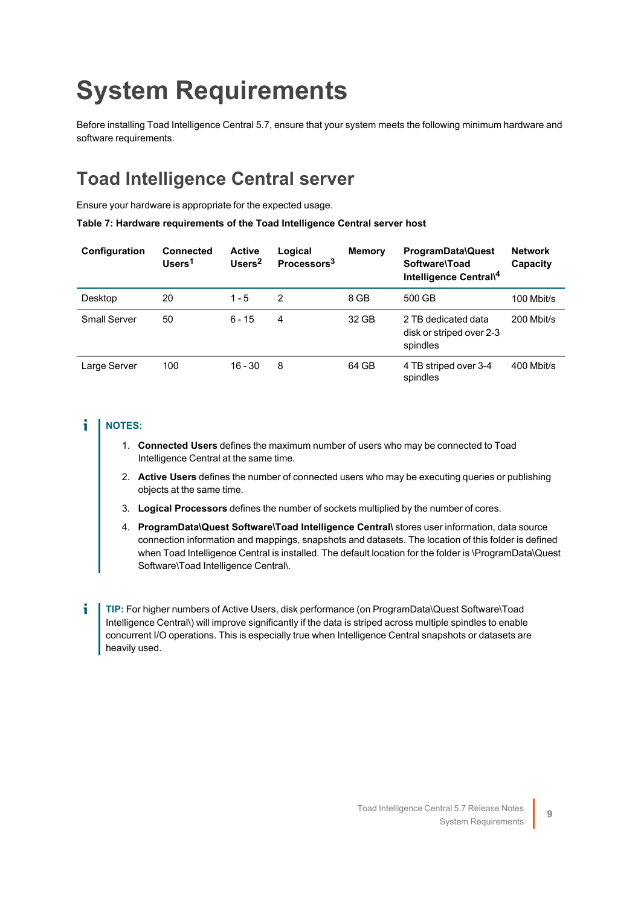## <span id="page-8-0"></span>**System Requirements**

Before installing Toad Intelligence Central 5.7, ensure that your system meets the following minimum hardware and software requirements.

### **Toad Intelligence Central server**

Ensure your hardware is appropriate for the expected usage.

**Table 7: Hardware requirements of the Toad Intelligence Central server host**

| Configuration       | <b>Connected</b><br>Users <sup>1</sup> | <b>Active</b><br>Users $2$ | Logical<br>Processors <sup>3</sup> | <b>Memory</b> | <b>ProgramData\Quest</b><br>Software\Toad<br>Intelligence Central\4 | <b>Network</b><br>Capacity |
|---------------------|----------------------------------------|----------------------------|------------------------------------|---------------|---------------------------------------------------------------------|----------------------------|
| Desktop             | 20                                     | $1 - 5$                    | 2                                  | 8 GB          | 500 GB                                                              | 100 Mbit/s                 |
| <b>Small Server</b> | 50                                     | $6 - 15$                   | 4                                  | 32 GB         | 2 TB dedicated data<br>disk or striped over 2-3<br>spindles         | 200 Mbit/s                 |
| Large Server        | 100                                    | $16 - 30$                  | 8                                  | 64 GB         | 4 TB striped over 3-4<br>spindles                                   | 400 Mbit/s                 |

#### i **NOTES:**

- 1. **Connected Users** defines the maximum number of users who may be connected to Toad Intelligence Central at the same time.
- 2. **Active Users** defines the number of connected users who may be executing queries or publishing objects at the same time.
- 3. **Logical Processors** defines the number of sockets multiplied by the number of cores.
- 4. **ProgramData\Quest Software\Toad Intelligence Central\** stores user information, data source connection information and mappings, snapshots and datasets. The location of this folder is defined when Toad Intelligence Central is installed. The default location for the folder is \ProgramData\Quest Software\Toad Intelligence Central\.
- ÷ **TIP:** For higher numbers of Active Users, disk performance (on ProgramData\Quest Software\Toad Intelligence Central\) will improve significantly if the data is striped across multiple spindles to enable concurrent I/O operations. This is especially true when Intelligence Central snapshots or datasets are heavily used.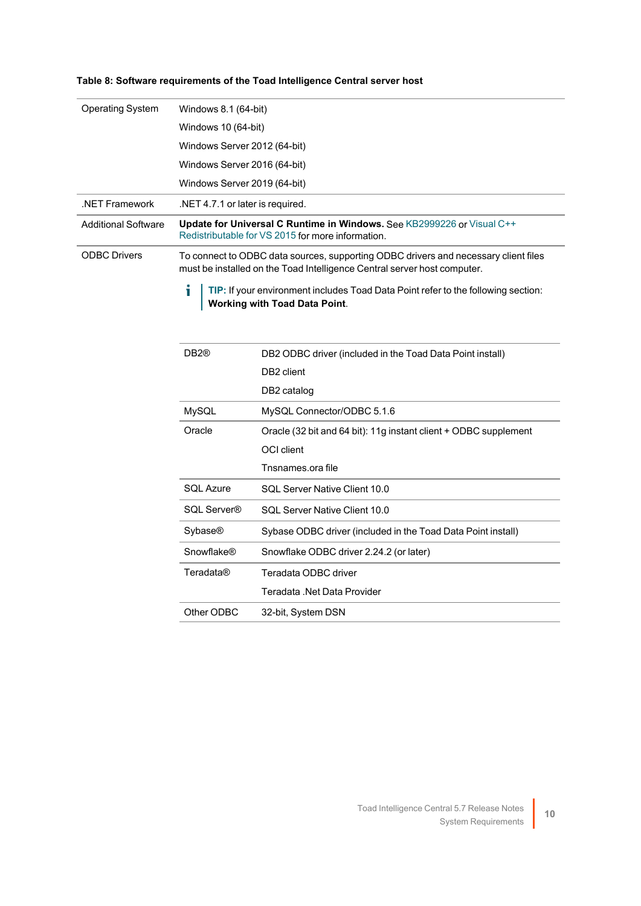### **Table 8: Software requirements of the Toad Intelligence Central server host**

| <b>Operating System</b>    | Windows 8.1 (64-bit)                                                                                                                                            |                                                                  |  |  |  |
|----------------------------|-----------------------------------------------------------------------------------------------------------------------------------------------------------------|------------------------------------------------------------------|--|--|--|
|                            | Windows 10 (64-bit)                                                                                                                                             |                                                                  |  |  |  |
|                            | Windows Server 2012 (64-bit)                                                                                                                                    |                                                                  |  |  |  |
|                            | Windows Server 2016 (64-bit)                                                                                                                                    |                                                                  |  |  |  |
|                            | Windows Server 2019 (64-bit)                                                                                                                                    |                                                                  |  |  |  |
| NET Framework.             | .NET 4.7.1 or later is required.                                                                                                                                |                                                                  |  |  |  |
| <b>Additional Software</b> | Update for Universal C Runtime in Windows. See KB2999226 or Visual C++<br>Redistributable for VS 2015 for more information.                                     |                                                                  |  |  |  |
| <b>ODBC Drivers</b>        | To connect to ODBC data sources, supporting ODBC drivers and necessary client files<br>must be installed on the Toad Intelligence Central server host computer. |                                                                  |  |  |  |
|                            | Ť<br>TIP: If your environment includes Toad Data Point refer to the following section:<br><b>Working with Toad Data Point.</b>                                  |                                                                  |  |  |  |
|                            | DB <sub>2</sub> ®                                                                                                                                               | DB2 ODBC driver (included in the Toad Data Point install)        |  |  |  |
|                            |                                                                                                                                                                 | DB <sub>2</sub> client                                           |  |  |  |
|                            |                                                                                                                                                                 | DB2 catalog                                                      |  |  |  |
|                            | <b>MySQL</b>                                                                                                                                                    | MySQL Connector/ODBC 5.1.6                                       |  |  |  |
|                            | Oracle                                                                                                                                                          | Oracle (32 bit and 64 bit): 11g instant client + ODBC supplement |  |  |  |
|                            |                                                                                                                                                                 | OCI client                                                       |  |  |  |
|                            |                                                                                                                                                                 | Tnsnames.ora file                                                |  |  |  |
|                            | SQL Azure                                                                                                                                                       | SQL Server Native Client 10.0                                    |  |  |  |
|                            | SQL Server®                                                                                                                                                     | SQL Server Native Client 10.0                                    |  |  |  |
|                            | <b>Sybase®</b>                                                                                                                                                  | Sybase ODBC driver (included in the Toad Data Point install)     |  |  |  |
|                            | <b>Snowflake®</b>                                                                                                                                               | Snowflake ODBC driver 2.24.2 (or later)                          |  |  |  |
|                            | Teradata®                                                                                                                                                       | Teradata ODBC driver                                             |  |  |  |
|                            |                                                                                                                                                                 | Teradata .Net Data Provider                                      |  |  |  |
|                            | Other ODBC                                                                                                                                                      | 32-bit, System DSN                                               |  |  |  |
|                            |                                                                                                                                                                 |                                                                  |  |  |  |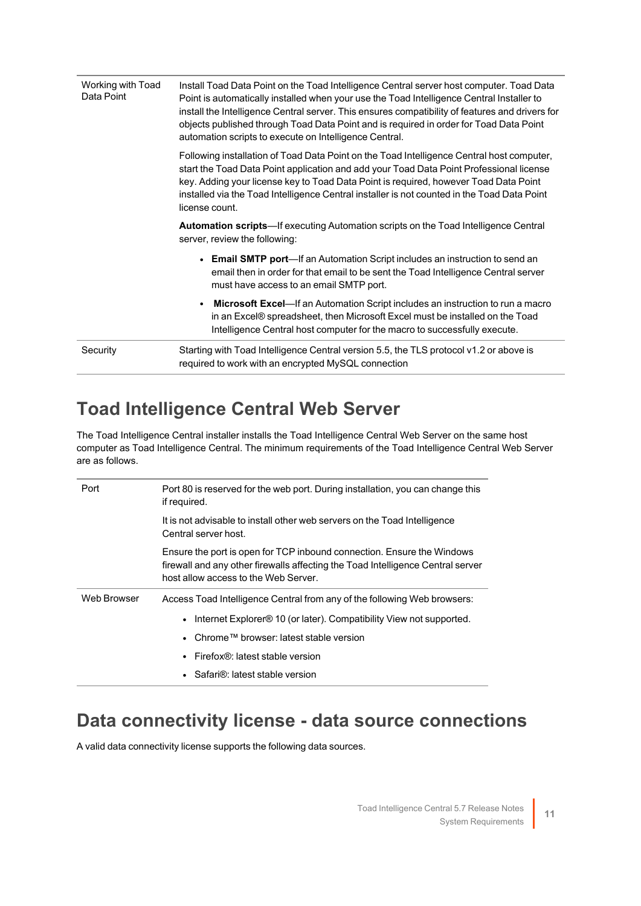| Working with Toad<br>Data Point | Install Toad Data Point on the Toad Intelligence Central server host computer. Toad Data<br>Point is automatically installed when your use the Toad Intelligence Central Installer to<br>install the Intelligence Central server. This ensures compatibility of features and drivers for<br>objects published through Toad Data Point and is required in order for Toad Data Point<br>automation scripts to execute on Intelligence Central. |
|---------------------------------|----------------------------------------------------------------------------------------------------------------------------------------------------------------------------------------------------------------------------------------------------------------------------------------------------------------------------------------------------------------------------------------------------------------------------------------------|
|                                 | Following installation of Toad Data Point on the Toad Intelligence Central host computer,<br>start the Toad Data Point application and add your Toad Data Point Professional license<br>key. Adding your license key to Toad Data Point is required, however Toad Data Point<br>installed via the Toad Intelligence Central installer is not counted in the Toad Data Point<br>license count.                                                |
|                                 | Automation scripts—If executing Automation scripts on the Toad Intelligence Central<br>server, review the following:                                                                                                                                                                                                                                                                                                                         |
|                                 | • Email SMTP port—If an Automation Script includes an instruction to send an<br>email then in order for that email to be sent the Toad Intelligence Central server<br>must have access to an email SMTP port.                                                                                                                                                                                                                                |
|                                 | <b>Microsoft Excel—If an Automation Script includes an instruction to run a macro</b><br>in an Excel® spreadsheet, then Microsoft Excel must be installed on the Toad<br>Intelligence Central host computer for the macro to successfully execute.                                                                                                                                                                                           |
| Security                        | Starting with Toad Intelligence Central version 5.5, the TLS protocol v1.2 or above is<br>required to work with an encrypted MySQL connection                                                                                                                                                                                                                                                                                                |

### **Toad Intelligence Central Web Server**

The Toad Intelligence Central installer installs the Toad Intelligence Central Web Server on the same host computer as Toad Intelligence Central. The minimum requirements of the Toad Intelligence Central Web Server are as follows.

| Port        | Port 80 is reserved for the web port. During installation, you can change this<br>if required.                                                                                                                                                                           |
|-------------|--------------------------------------------------------------------------------------------------------------------------------------------------------------------------------------------------------------------------------------------------------------------------|
|             | It is not advisable to install other web servers on the Toad Intelligence<br>Central server host.                                                                                                                                                                        |
|             | Ensure the port is open for TCP inbound connection. Ensure the Windows<br>firewall and any other firewalls affecting the Toad Intelligence Central server<br>host allow access to the Web Server.                                                                        |
| Web Browser | Access Toad Intelligence Central from any of the following Web browsers:<br>Internet Explorer® 10 (or later). Compatibility View not supported.<br>• Chrome $TM$ browser: latest stable version<br>• Firefox®: latest stable version<br>• Safari®: latest stable version |

### **Data connectivity license - data source connections**

A valid data connectivity license supports the following data sources.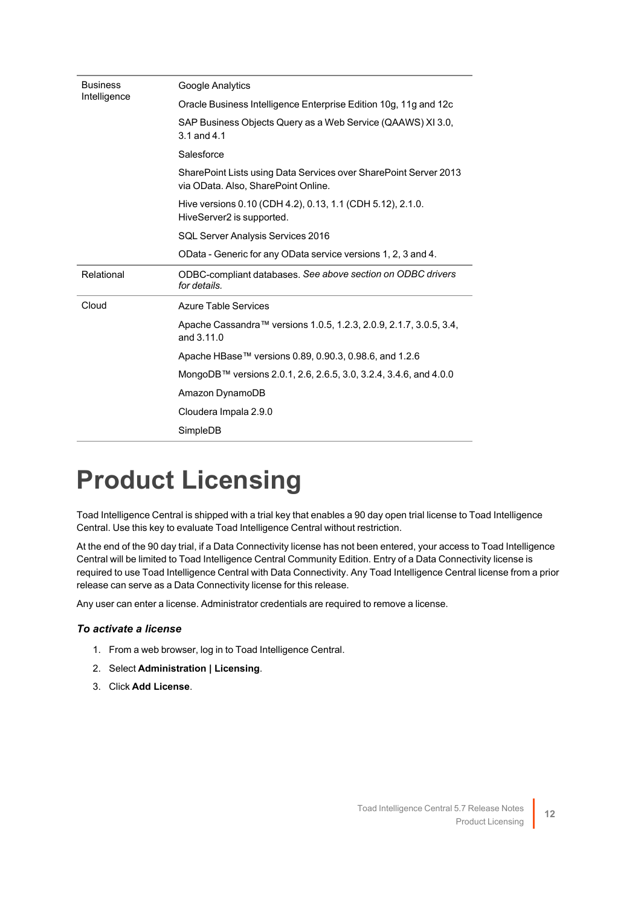| <b>Business</b> | Google Analytics                                                                                        |
|-----------------|---------------------------------------------------------------------------------------------------------|
| Intelligence    | Oracle Business Intelligence Enterprise Edition 10g, 11g and 12c                                        |
|                 | SAP Business Objects Query as a Web Service (QAAWS) XI 3.0,<br>$3.1$ and $4.1$                          |
|                 | Salesforce                                                                                              |
|                 | SharePoint Lists using Data Services over SharePoint Server 2013<br>via OData. Also, SharePoint Online. |
|                 | Hive versions 0.10 (CDH 4.2), 0.13, 1.1 (CDH 5.12), 2.1.0.<br>HiveServer2 is supported.                 |
|                 | SQL Server Analysis Services 2016                                                                       |
|                 | OData - Generic for any OData service versions 1, 2, 3 and 4.                                           |
| Relational      | ODBC-compliant databases. See above section on ODBC drivers<br>for details.                             |
| Cloud           | <b>Azure Table Services</b>                                                                             |
|                 | Apache Cassandra™ versions 1.0.5, 1.2.3, 2.0.9, 2.1.7, 3.0.5, 3.4,<br>and 3.11.0                        |
|                 | Apache HBase™ versions 0.89, 0.90.3, 0.98.6, and 1.2.6                                                  |
|                 | MongoDB™ versions 2.0.1, 2.6, 2.6.5, 3.0, 3.2.4, 3.4.6, and 4.0.0                                       |
|                 | Amazon DynamoDB                                                                                         |
|                 | Cloudera Impala 2.9.0                                                                                   |
|                 | SimpleDB                                                                                                |

## <span id="page-11-0"></span>**Product Licensing**

Toad Intelligence Central is shipped with a trial key that enables a 90 day open trial license to Toad Intelligence Central. Use this key to evaluate Toad Intelligence Central without restriction.

At the end of the 90 day trial, if a Data Connectivity license has not been entered, your access to Toad Intelligence Central will be limited to Toad Intelligence Central Community Edition. Entry of a Data Connectivity license is required to use Toad Intelligence Central with Data Connectivity. Any Toad Intelligence Central license from a prior release can serve as a Data Connectivity license for this release.

Any user can enter a license. Administrator credentials are required to remove a license.

#### *To activate a license*

- 1. From a web browser, log in to Toad Intelligence Central.
- 2. Select **Administration | Licensing**.
- 3. Click **Add License**.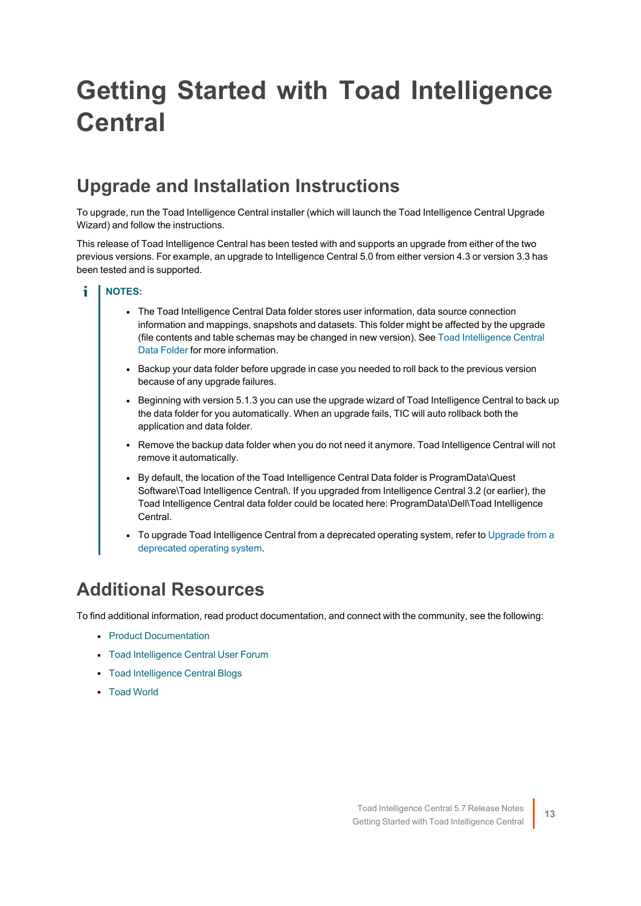# <span id="page-12-0"></span>**Getting Started with Toad Intelligence Central**

### **Upgrade and Installation Instructions**

To upgrade, run the Toad Intelligence Central installer (which will launch the Toad Intelligence Central Upgrade Wizard) and follow the instructions.

This release of Toad Intelligence Central has been tested with and supports an upgrade from either of the two previous versions. For example, an upgrade to Intelligence Central 5.0 from either version 4.3 or version 3.3 has been tested and is supported.

### **NOTES:**

- The Toad Intelligence Central Data folder stores user information, data source connection information and mappings, snapshots and datasets. This folder might be affected by the upgrade (file contents and table schemas may be changed in new version). See Toad [Intelligence](../../../../../Content/TICServer/DataFolder_TICServer.htm) Central Data [Folder](../../../../../Content/TICServer/DataFolder_TICServer.htm) for more information.
- Backup your data folder before upgrade in case you needed to roll back to the previous version because of any upgrade failures.
- Beginning with version 5.1.3 you can use the upgrade wizard of Toad Intelligence Central to back up the data folder for you automatically. When an upgrade fails, TIC will auto rollback both the application and data folder.
- Remove the backup data folder when you do not need it anymore. Toad Intelligence Central will not remove it automatically.
- By default, the location of the Toad Intelligence Central Data folder is ProgramData\Quest Software\Toad Intelligence Central\. If you upgraded from Intelligence Central 3.2 (or earlier), the Toad Intelligence Central data folder could be located here: ProgramData\Dell\Toad Intelligence Central.
- To upgrade Toad Intelligence Central from a deprecated operating system, refer to [Upgrade](../../../../../Content/TICServer/Upgrade_TICServer_DeprecatedOS.htm) from a [deprecated](../../../../../Content/TICServer/Upgrade_TICServer_DeprecatedOS.htm) operating system.

### **Additional Resources**

To find additional information, read product documentation, and connect with the community, see the following:

- Product [Documentation](http://support.quest.com/technical-documents/Toad Intelligence Central/)
- Toad [Intelligence](https://forums.toadworld.com/c/toad-intelligence-central) Central User Forum
- Toad [Intelligence](https://blog.toadworld.com/tag/toad-intelligence-central) Central Blogs
- Toad [World](http://www.toadworld.com/)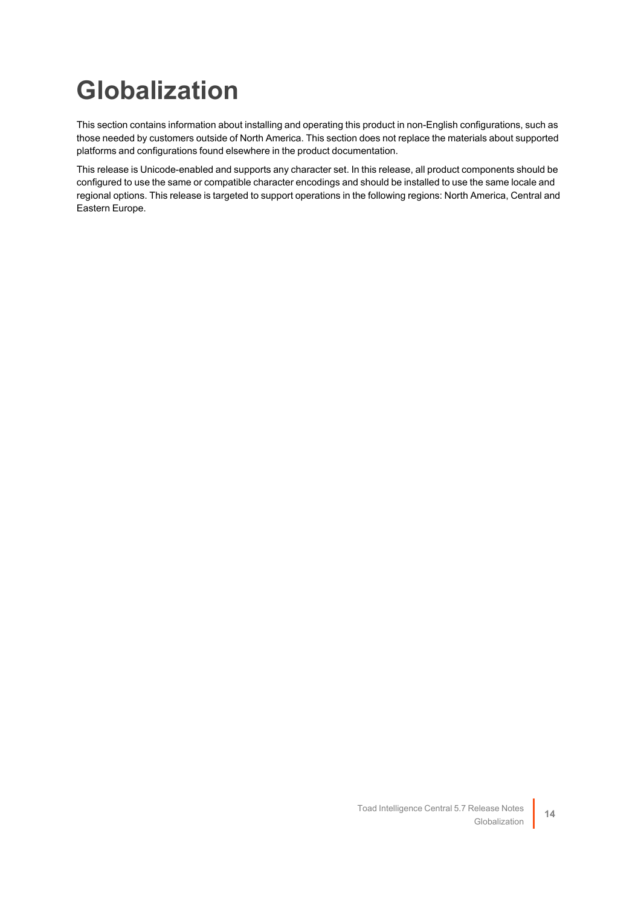# <span id="page-13-0"></span>**Globalization**

This section contains information about installing and operating this product in non-English configurations, such as those needed by customers outside of North America. This section does not replace the materials about supported platforms and configurations found elsewhere in the product documentation.

This release is Unicode-enabled and supports any character set. In this release, all product components should be configured to use the same or compatible character encodings and should be installed to use the same locale and regional options. This release is targeted to support operations in the following regions: North America, Central and Eastern Europe.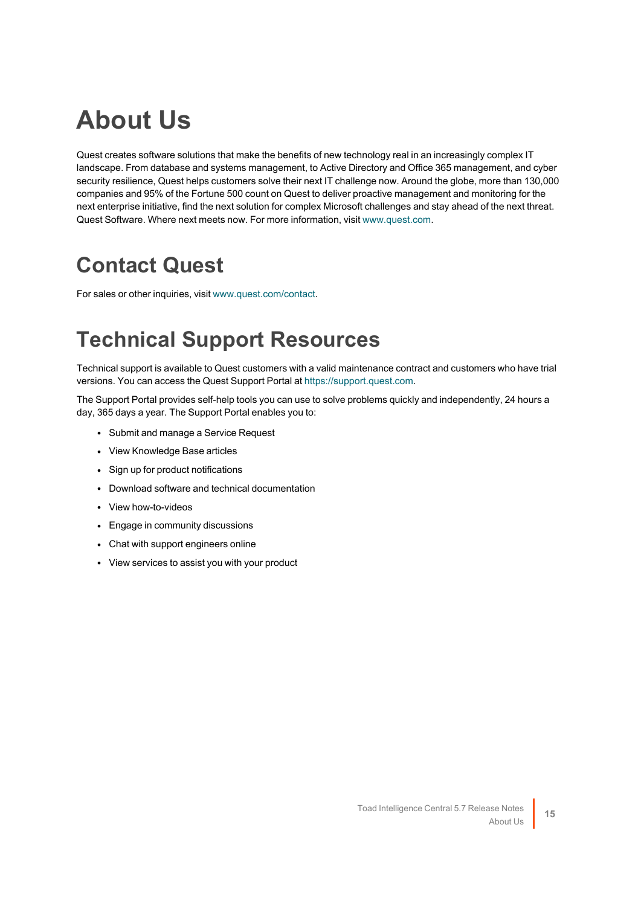# **About Us**

Quest creates software solutions that make the benefits of new technology real in an increasingly complex IT landscape. From database and systems management, to Active Directory and Office 365 management, and cyber security resilience, Quest helps customers solve their next IT challenge now. Around the globe, more than 130,000 companies and 95% of the Fortune 500 count on Quest to deliver proactive management and monitoring for the next enterprise initiative, find the next solution for complex Microsoft challenges and stay ahead of the next threat. Quest Software. Where next meets now. For more information, visit [www.quest.com](https://www.quest.com/).

## **Contact Quest**

For sales or other inquiries, visit [www.quest.com/contact.](https://www.quest.com/contact)

## **Technical Support Resources**

Technical support is available to Quest customers with a valid maintenance contract and customers who have trial versions. You can access the Quest Support Portal at [https://support.quest.com.](https://support.quest.com/)

The Support Portal provides self-help tools you can use to solve problems quickly and independently, 24 hours a day, 365 days a year. The Support Portal enables you to:

- Submit and manage a Service Request
- View Knowledge Base articles
- Sign up for product notifications
- Download software and technical documentation
- View how-to-videos
- Engage in community discussions
- Chat with support engineers online
- View services to assist you with your product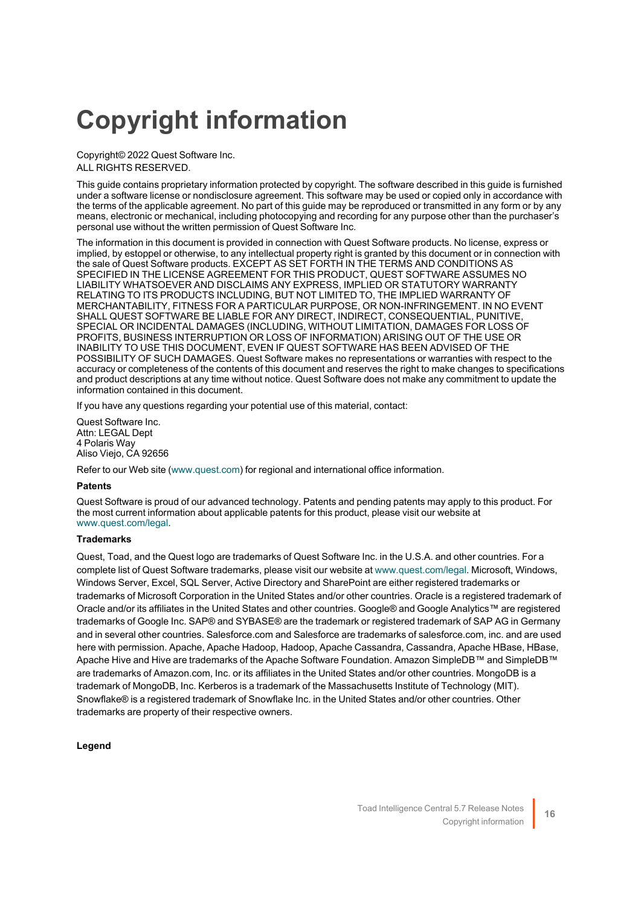# **Copyright information**

Copyright© 2022 Quest Software Inc. ALL RIGHTS RESERVED.

This guide contains proprietary information protected by copyright. The software described in this guide is furnished under a software license or nondisclosure agreement. This software may be used or copied only in accordance with the terms of the applicable agreement. No part of this guide may be reproduced or transmitted in any form or by any means, electronic or mechanical, including photocopying and recording for any purpose other than the purchaser's personal use without the written permission of Quest Software Inc.

The information in this document is provided in connection with Quest Software products. No license, express or implied, by estoppel or otherwise, to any intellectual property right is granted by this document or in connection with the sale of Quest Software products. EXCEPT AS SET FORTH IN THE TERMS AND CONDITIONS AS SPECIFIED IN THE LICENSE AGREEMENT FOR THIS PRODUCT, QUEST SOFTWARE ASSUMES NO LIABILITY WHATSOEVER AND DISCLAIMS ANY EXPRESS, IMPLIED OR STATUTORY WARRANTY RELATING TO ITS PRODUCTS INCLUDING, BUT NOT LIMITED TO, THE IMPLIED WARRANTY OF MERCHANTABILITY, FITNESS FOR A PARTICULAR PURPOSE, OR NON-INFRINGEMENT. IN NO EVENT SHALL QUEST SOFTWARE BE LIABLE FOR ANY DIRECT, INDIRECT, CONSEQUENTIAL, PUNITIVE, SPECIAL OR INCIDENTAL DAMAGES (INCLUDING, WITHOUT LIMITATION, DAMAGES FOR LOSS OF PROFITS, BUSINESS INTERRUPTION OR LOSS OF INFORMATION) ARISING OUT OF THE USE OR INABILITY TO USE THIS DOCUMENT, EVEN IF QUEST SOFTWARE HAS BEEN ADVISED OF THE POSSIBILITY OF SUCH DAMAGES. Quest Software makes no representations or warranties with respect to the accuracy or completeness of the contents of this document and reserves the right to make changes to specifications and product descriptions at any time without notice. Quest Software does not make any commitment to update the information contained in this document.

If you have any questions regarding your potential use of this material, contact:

Quest Software Inc. Attn: LEGAL Dept 4 Polaris Way Aliso Viejo, CA 92656

Refer to our Web site [\(www.quest.com\)](http://www.quest.com/) for regional and international office information.

#### **Patents**

Quest Software is proud of our advanced technology. Patents and pending patents may apply to this product. For the most current information about applicable patents for this product, please visit our website at [www.quest.com/legal](http://www.quest.com/legal).

#### **Trademarks**

Quest, Toad, and the Quest logo are trademarks of Quest Software Inc. in the U.S.A. and other countries. For a complete list of Quest Software trademarks, please visit our website at [www.quest.com/legal](http://www.quest.com/legal). Microsoft, Windows, Windows Server, Excel, SQL Server, Active Directory and SharePoint are either registered trademarks or trademarks of Microsoft Corporation in the United States and/or other countries. Oracle is a registered trademark of Oracle and/or its affiliates in the United States and other countries. Google® and Google Analytics™ are registered trademarks of Google Inc. SAP® and SYBASE® are the trademark or registered trademark of SAP AG in Germany and in several other countries. Salesforce.com and Salesforce are trademarks of salesforce.com, inc. and are used here with permission. Apache, Apache Hadoop, Hadoop, Apache Cassandra, Cassandra, Apache HBase, HBase, Apache Hive and Hive are trademarks of the Apache Software Foundation. Amazon SimpleDB™ and SimpleDB™ are trademarks of Amazon.com, Inc. or its affiliates in the United States and/or other countries. MongoDB is a trademark of MongoDB, Inc. Kerberos is a trademark of the Massachusetts Institute of Technology (MIT). Snowflake® is a registered trademark of Snowflake Inc. in the United States and/or other countries. Other trademarks are property of their respective owners.

#### **Legend**